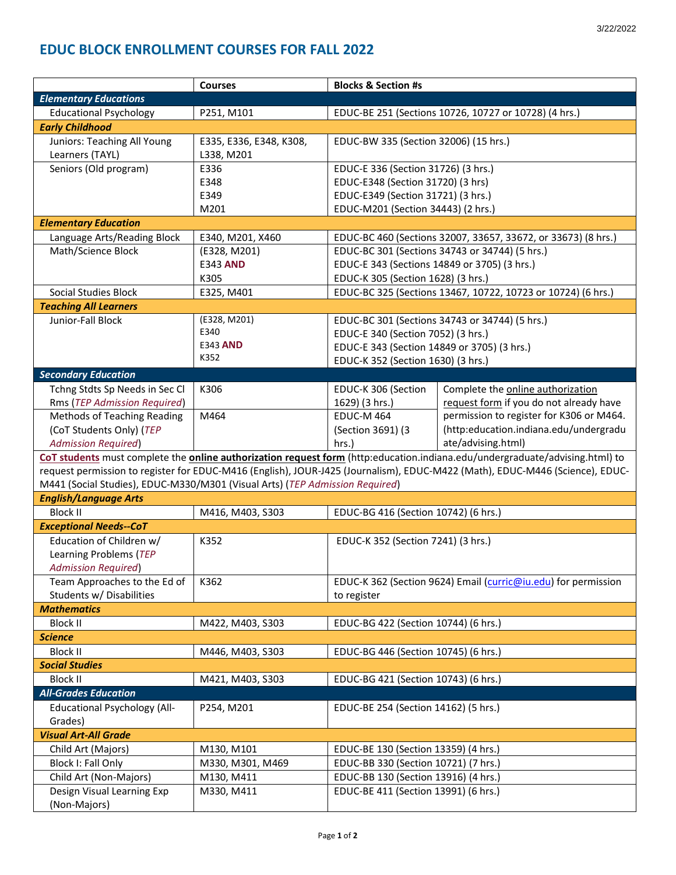|                                                                                                                                     | <b>Courses</b>          | <b>Blocks &amp; Section #s</b>                                                    |                                                              |  |
|-------------------------------------------------------------------------------------------------------------------------------------|-------------------------|-----------------------------------------------------------------------------------|--------------------------------------------------------------|--|
| <b>Elementary Educations</b>                                                                                                        |                         |                                                                                   |                                                              |  |
| <b>Educational Psychology</b>                                                                                                       | P251, M101              |                                                                                   | EDUC-BE 251 (Sections 10726, 10727 or 10728) (4 hrs.)        |  |
| <b>Early Childhood</b>                                                                                                              |                         |                                                                                   |                                                              |  |
| Juniors: Teaching All Young                                                                                                         | E335, E336, E348, K308, | EDUC-BW 335 (Section 32006) (15 hrs.)                                             |                                                              |  |
| Learners (TAYL)                                                                                                                     | L338, M201              |                                                                                   |                                                              |  |
| Seniors (Old program)                                                                                                               | E336                    | EDUC-E 336 (Section 31726) (3 hrs.)                                               |                                                              |  |
|                                                                                                                                     | E348                    | EDUC-E348 (Section 31720) (3 hrs)                                                 |                                                              |  |
|                                                                                                                                     | E349                    | EDUC-E349 (Section 31721) (3 hrs.)                                                |                                                              |  |
|                                                                                                                                     | M201                    | EDUC-M201 (Section 34443) (2 hrs.)                                                |                                                              |  |
| <b>Elementary Education</b>                                                                                                         |                         |                                                                                   |                                                              |  |
| Language Arts/Reading Block                                                                                                         | E340, M201, X460        | EDUC-BC 460 (Sections 32007, 33657, 33672, or 33673) (8 hrs.)                     |                                                              |  |
| Math/Science Block                                                                                                                  | (E328, M201)            |                                                                                   | EDUC-BC 301 (Sections 34743 or 34744) (5 hrs.)               |  |
|                                                                                                                                     | <b>E343 AND</b>         | EDUC-E 343 (Sections 14849 or 3705) (3 hrs.)                                      |                                                              |  |
|                                                                                                                                     | K305                    | EDUC-K 305 (Section 1628) (3 hrs.)                                                |                                                              |  |
| <b>Social Studies Block</b>                                                                                                         | E325, M401              |                                                                                   | EDUC-BC 325 (Sections 13467, 10722, 10723 or 10724) (6 hrs.) |  |
| <b>Teaching All Learners</b>                                                                                                        |                         |                                                                                   |                                                              |  |
| Junior-Fall Block                                                                                                                   | (E328, M201)            |                                                                                   |                                                              |  |
|                                                                                                                                     | E340                    | EDUC-BC 301 (Sections 34743 or 34744) (5 hrs.)                                    |                                                              |  |
|                                                                                                                                     | E343 AND                | EDUC-E 340 (Section 7052) (3 hrs.)<br>EDUC-E 343 (Section 14849 or 3705) (3 hrs.) |                                                              |  |
|                                                                                                                                     | K352                    |                                                                                   |                                                              |  |
|                                                                                                                                     |                         | EDUC-K 352 (Section 1630) (3 hrs.)                                                |                                                              |  |
| <b>Secondary Education</b>                                                                                                          |                         |                                                                                   |                                                              |  |
| Tchng Stdts Sp Needs in Sec Cl                                                                                                      | K306                    | EDUC-K 306 (Section                                                               | Complete the online authorization                            |  |
| Rms (TEP Admission Required)                                                                                                        |                         | 1629) (3 hrs.)                                                                    | request form if you do not already have                      |  |
| <b>Methods of Teaching Reading</b>                                                                                                  | M464                    | <b>EDUC-M 464</b>                                                                 | permission to register for K306 or M464.                     |  |
| (CoT Students Only) (TEP                                                                                                            |                         | (Section 3691) (3                                                                 | (http:education.indiana.edu/undergradu                       |  |
| <b>Admission Required)</b>                                                                                                          |                         | hrs.)                                                                             | ate/advising.html)                                           |  |
| CoT students must complete the <b>online authorization request form</b> (http:education.indiana.edu/undergraduate/advising.html) to |                         |                                                                                   |                                                              |  |
| request permission to register for EDUC-M416 (English), JOUR-J425 (Journalism), EDUC-M422 (Math), EDUC-M446 (Science), EDUC-        |                         |                                                                                   |                                                              |  |
| M441 (Social Studies), EDUC-M330/M301 (Visual Arts) (TEP Admission Required)                                                        |                         |                                                                                   |                                                              |  |
| <b>English/Language Arts</b>                                                                                                        |                         |                                                                                   |                                                              |  |
| <b>Block II</b>                                                                                                                     | M416, M403, S303        | EDUC-BG 416 (Section 10742) (6 hrs.)                                              |                                                              |  |
| <b>Exceptional Needs--CoT</b>                                                                                                       |                         |                                                                                   |                                                              |  |
| Education of Children w/                                                                                                            | K352                    | EDUC-K 352 (Section 7241) (3 hrs.)                                                |                                                              |  |
| Learning Problems (TEP                                                                                                              |                         |                                                                                   |                                                              |  |
| <b>Admission Required)</b>                                                                                                          |                         |                                                                                   |                                                              |  |
| Team Approaches to the Ed of                                                                                                        | K362                    | EDUC-K 362 (Section 9624) Email (curric@iu.edu) for permission                    |                                                              |  |
| Students w/ Disabilities                                                                                                            |                         | to register                                                                       |                                                              |  |
| <b>Mathematics</b>                                                                                                                  |                         |                                                                                   |                                                              |  |
| <b>Block II</b>                                                                                                                     | M422, M403, S303        | EDUC-BG 422 (Section 10744) (6 hrs.)                                              |                                                              |  |
| <b>Science</b>                                                                                                                      |                         |                                                                                   |                                                              |  |
| Block II                                                                                                                            | M446, M403, S303        | EDUC-BG 446 (Section 10745) (6 hrs.)                                              |                                                              |  |
| <b>Social Studies</b>                                                                                                               |                         |                                                                                   |                                                              |  |
| <b>Block II</b>                                                                                                                     | M421, M403, S303        | EDUC-BG 421 (Section 10743) (6 hrs.)                                              |                                                              |  |
| <b>All-Grades Education</b>                                                                                                         |                         |                                                                                   |                                                              |  |
| <b>Educational Psychology (All-</b>                                                                                                 | P254, M201              | EDUC-BE 254 (Section 14162) (5 hrs.)                                              |                                                              |  |
| Grades)                                                                                                                             |                         |                                                                                   |                                                              |  |
| <b>Visual Art-All Grade</b>                                                                                                         |                         |                                                                                   |                                                              |  |
| Child Art (Majors)                                                                                                                  | M130, M101              |                                                                                   |                                                              |  |
|                                                                                                                                     |                         | EDUC-BE 130 (Section 13359) (4 hrs.)                                              |                                                              |  |
| Block I: Fall Only                                                                                                                  | M330, M301, M469        | EDUC-BB 330 (Section 10721) (7 hrs.)                                              |                                                              |  |
| Child Art (Non-Majors)                                                                                                              | M130, M411              | EDUC-BB 130 (Section 13916) (4 hrs.)                                              |                                                              |  |
| Design Visual Learning Exp                                                                                                          | M330, M411              | EDUC-BE 411 (Section 13991) (6 hrs.)                                              |                                                              |  |
| (Non-Majors)                                                                                                                        |                         |                                                                                   |                                                              |  |